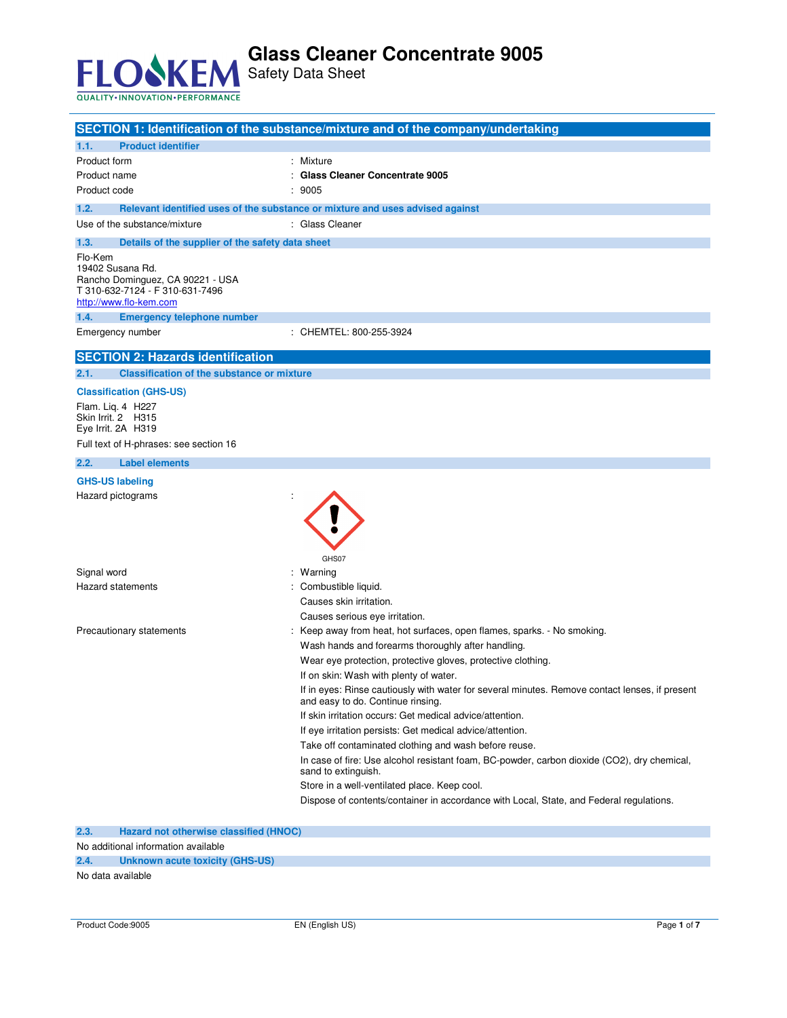

Safety Data Sheet

| <b>Product identifier</b>                                                                                                                                                                | SECTION 1: Identification of the substance/mixture and of the company/undertaking                                                   |
|------------------------------------------------------------------------------------------------------------------------------------------------------------------------------------------|-------------------------------------------------------------------------------------------------------------------------------------|
| 1.1.<br>Product form                                                                                                                                                                     | Mixture                                                                                                                             |
| Product name                                                                                                                                                                             | <b>Glass Cleaner Concentrate 9005</b>                                                                                               |
| Product code                                                                                                                                                                             | 9005                                                                                                                                |
| 1.2.                                                                                                                                                                                     |                                                                                                                                     |
| Use of the substance/mixture                                                                                                                                                             | Relevant identified uses of the substance or mixture and uses advised against<br>: Glass Cleaner                                    |
|                                                                                                                                                                                          |                                                                                                                                     |
| 1.3.<br>Details of the supplier of the safety data sheet<br>Flo-Kem<br>19402 Susana Rd.<br>Rancho Dominguez, CA 90221 - USA<br>T 310-632-7124 - F 310-631-7496<br>http://www.flo-kem.com |                                                                                                                                     |
| 1.4.<br><b>Emergency telephone number</b><br>Emergency number                                                                                                                            | : CHEMTEL: 800-255-3924                                                                                                             |
|                                                                                                                                                                                          |                                                                                                                                     |
| <b>SECTION 2: Hazards identification</b>                                                                                                                                                 |                                                                                                                                     |
| <b>Classification of the substance or mixture</b><br>2.1.                                                                                                                                |                                                                                                                                     |
| <b>Classification (GHS-US)</b>                                                                                                                                                           |                                                                                                                                     |
| Flam. Lig. 4 H227<br>Skin Irrit. 2 H315<br>Eye Irrit. 2A H319                                                                                                                            |                                                                                                                                     |
| Full text of H-phrases: see section 16                                                                                                                                                   |                                                                                                                                     |
| 2.2.<br><b>Label elements</b>                                                                                                                                                            |                                                                                                                                     |
| <b>GHS-US labeling</b>                                                                                                                                                                   |                                                                                                                                     |
| Hazard pictograms                                                                                                                                                                        | GHS07                                                                                                                               |
| Signal word                                                                                                                                                                              | : Warning                                                                                                                           |
| Hazard statements                                                                                                                                                                        | Combustible liquid.                                                                                                                 |
|                                                                                                                                                                                          | Causes skin irritation.                                                                                                             |
|                                                                                                                                                                                          | Causes serious eye irritation.                                                                                                      |
| Precautionary statements                                                                                                                                                                 | : Keep away from heat, hot surfaces, open flames, sparks. - No smoking.                                                             |
|                                                                                                                                                                                          | Wash hands and forearms thoroughly after handling.                                                                                  |
|                                                                                                                                                                                          | Wear eye protection, protective gloves, protective clothing.                                                                        |
|                                                                                                                                                                                          | If on skin: Wash with plenty of water.                                                                                              |
|                                                                                                                                                                                          | If in eyes: Rinse cautiously with water for several minutes. Remove contact lenses, if present<br>and easy to do. Continue rinsing. |
|                                                                                                                                                                                          | If skin irritation occurs: Get medical advice/attention.                                                                            |
|                                                                                                                                                                                          | If eye irritation persists: Get medical advice/attention.<br>Take off contaminated clothing and wash before reuse.                  |
|                                                                                                                                                                                          | In case of fire: Use alcohol resistant foam, BC-powder, carbon dioxide (CO2), dry chemical,                                         |
|                                                                                                                                                                                          | sand to extinguish.                                                                                                                 |
|                                                                                                                                                                                          | Store in a well-ventilated place. Keep cool.                                                                                        |
|                                                                                                                                                                                          | Dispose of contents/container in accordance with Local, State, and Federal regulations.                                             |
|                                                                                                                                                                                          |                                                                                                                                     |

**2.3. Hazard not otherwise classified (HNOC)** 

No additional information available

**2.4. Unknown acute toxicity (GHS-US)** 

No data available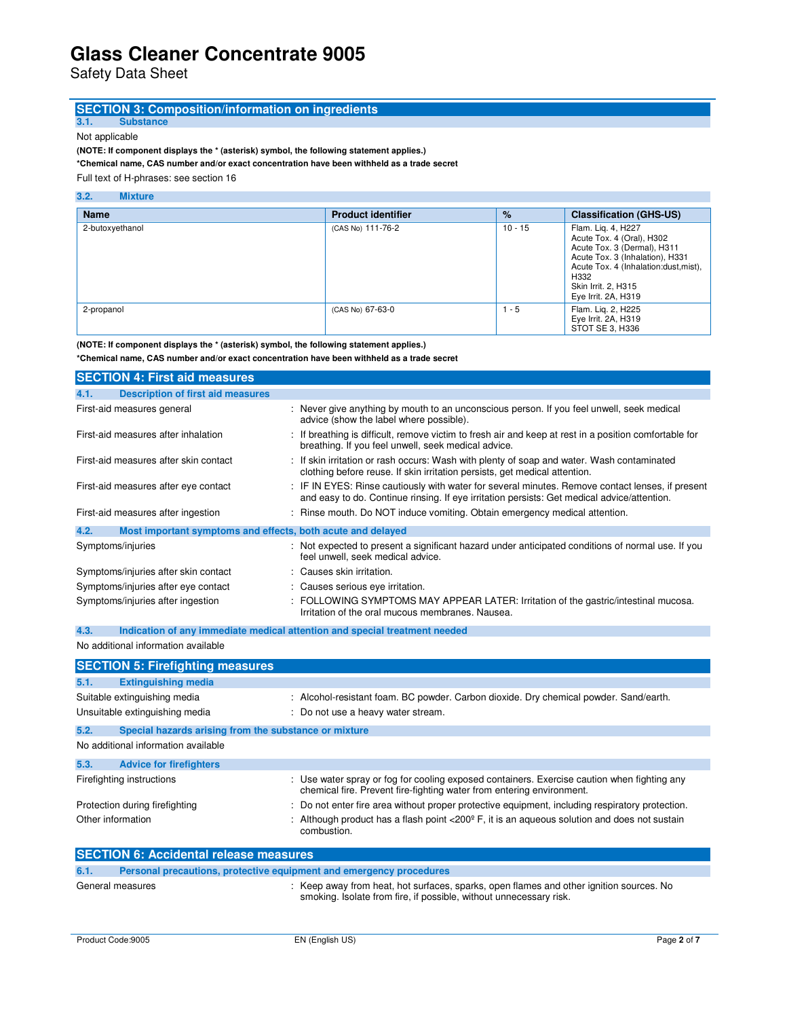Safety Data Sheet

# **SECTION 3: Composition/information on ingredients**

**3.1. Substance** 

Not applicable

**(NOTE: If component displays the \* (asterisk) symbol, the following statement applies.)** 

**\*Chemical name, CAS number and/or exact concentration have been withheld as a trade secret** 

Full text of H-phrases: see section 16

#### **3.2. Mixture**

| <b>Name</b>     | <b>Product identifier</b> | $\%$      | <b>Classification (GHS-US)</b>                                                                                                                                                                                   |
|-----------------|---------------------------|-----------|------------------------------------------------------------------------------------------------------------------------------------------------------------------------------------------------------------------|
| 2-butoxyethanol | (CAS No) 111-76-2         | $10 - 15$ | Flam. Lig. 4, H227<br>Acute Tox. 4 (Oral), H302<br>Acute Tox. 3 (Dermal), H311<br>Acute Tox. 3 (Inhalation), H331<br>Acute Tox. 4 (Inhalation:dust, mist),<br>H332<br>Skin Irrit. 2, H315<br>Eye Irrit. 2A, H319 |
| 2-propanol      | (CAS No) 67-63-0          | $1 - 5$   | Flam. Lig. 2, H225<br>Eye Irrit. 2A, H319<br>STOT SE 3, H336                                                                                                                                                     |

**(NOTE: If component displays the \* (asterisk) symbol, the following statement applies.)** 

**\*Chemical name, CAS number and/or exact concentration have been withheld as a trade secret**

| <b>SECTION 4: First aid measures</b>                                |                                                                                                                                                                                                 |
|---------------------------------------------------------------------|-------------------------------------------------------------------------------------------------------------------------------------------------------------------------------------------------|
| <b>Description of first aid measures</b><br>4.1.                    |                                                                                                                                                                                                 |
| First-aid measures general                                          | : Never give anything by mouth to an unconscious person. If you feel unwell, seek medical<br>advice (show the label where possible).                                                            |
| First-aid measures after inhalation                                 | : If breathing is difficult, remove victim to fresh air and keep at rest in a position comfortable for<br>breathing. If you feel unwell, seek medical advice.                                   |
| First-aid measures after skin contact                               | : If skin irritation or rash occurs: Wash with plenty of soap and water. Wash contaminated<br>clothing before reuse. If skin irritation persists, get medical attention.                        |
| First-aid measures after eye contact                                | : IF IN EYES: Rinse cautiously with water for several minutes. Remove contact lenses, if present<br>and easy to do. Continue rinsing. If eye irritation persists: Get medical advice/attention. |
| First-aid measures after ingestion                                  | : Rinse mouth. Do NOT induce vomiting. Obtain emergency medical attention.                                                                                                                      |
| 4.2.<br>Most important symptoms and effects, both acute and delayed |                                                                                                                                                                                                 |
| Symptoms/injuries                                                   | : Not expected to present a significant hazard under anticipated conditions of normal use. If you<br>feel unwell, seek medical advice.                                                          |
| Symptoms/injuries after skin contact                                | : Causes skin irritation.                                                                                                                                                                       |
| Symptoms/injuries after eye contact                                 | : Causes serious eye irritation.                                                                                                                                                                |
| Symptoms/injuries after ingestion                                   | : FOLLOWING SYMPTOMS MAY APPEAR LATER: Irritation of the gastric/intestinal mucosa.<br>Irritation of the oral mucous membranes. Nausea.                                                         |

### **4.3. Indication of any immediate medical attention and special treatment needed**

No additional information available

|                   | <b>SECTION 5: Firefighting measures</b>                             |                                                                                                                                                                      |
|-------------------|---------------------------------------------------------------------|----------------------------------------------------------------------------------------------------------------------------------------------------------------------|
| 5.1.              | <b>Extinguishing media</b>                                          |                                                                                                                                                                      |
|                   | Suitable extinguishing media                                        | : Alcohol-resistant foam. BC powder. Carbon dioxide. Dry chemical powder. Sand/earth.                                                                                |
|                   | Unsuitable extinguishing media                                      | : Do not use a heavy water stream.                                                                                                                                   |
| 5.2.              | Special hazards arising from the substance or mixture               |                                                                                                                                                                      |
|                   | No additional information available                                 |                                                                                                                                                                      |
| 5.3.              | <b>Advice for firefighters</b>                                      |                                                                                                                                                                      |
|                   | Firefighting instructions                                           | : Use water spray or fog for cooling exposed containers. Exercise caution when fighting any<br>chemical fire. Prevent fire-fighting water from entering environment. |
|                   | Protection during firefighting                                      | : Do not enter fire area without proper protective equipment, including respiratory protection.                                                                      |
| Other information |                                                                     | Although product has a flash point $\langle 200^\circ \text{F}$ , it is an aqueous solution and does not sustain<br>combustion.                                      |
|                   | <b>SECTION 6: Accidental release measures</b>                       |                                                                                                                                                                      |
| 6.1.              | Personal precautions, protective equipment and emergency procedures |                                                                                                                                                                      |
|                   | General measures                                                    | : Keep away from heat, hot surfaces, sparks, open flames and other ignition sources. No<br>smoking. Isolate from fire, if possible, without unnecessary risk.        |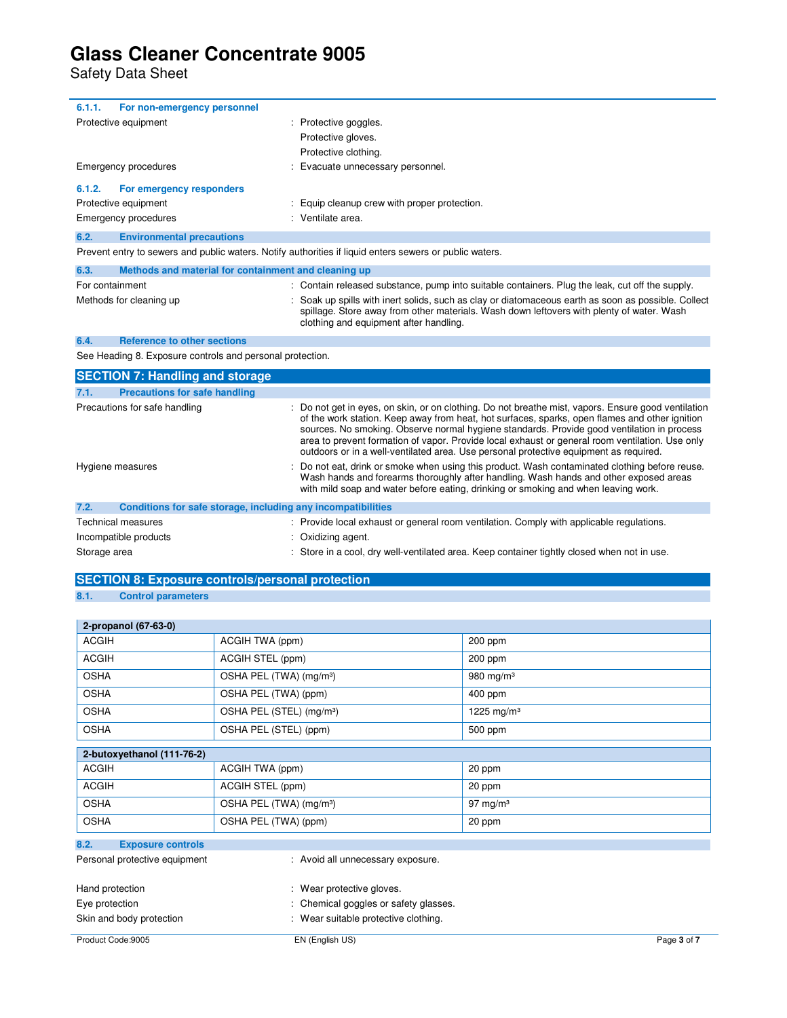Safety Data Sheet

| 6.1.1.<br>For non-emergency personnel                                |                                                                                                                                                                                                                                                                                                                                                                                                                                                                                                 |
|----------------------------------------------------------------------|-------------------------------------------------------------------------------------------------------------------------------------------------------------------------------------------------------------------------------------------------------------------------------------------------------------------------------------------------------------------------------------------------------------------------------------------------------------------------------------------------|
| Protective equipment                                                 | Protective goggles.                                                                                                                                                                                                                                                                                                                                                                                                                                                                             |
|                                                                      | Protective gloves.                                                                                                                                                                                                                                                                                                                                                                                                                                                                              |
|                                                                      | Protective clothing.                                                                                                                                                                                                                                                                                                                                                                                                                                                                            |
| <b>Emergency procedures</b>                                          | Evacuate unnecessary personnel.                                                                                                                                                                                                                                                                                                                                                                                                                                                                 |
| 6.1.2.<br>For emergency responders                                   |                                                                                                                                                                                                                                                                                                                                                                                                                                                                                                 |
| Protective equipment                                                 | Equip cleanup crew with proper protection.                                                                                                                                                                                                                                                                                                                                                                                                                                                      |
| Emergency procedures                                                 | Ventilate area.                                                                                                                                                                                                                                                                                                                                                                                                                                                                                 |
| 6.2.<br><b>Environmental precautions</b>                             |                                                                                                                                                                                                                                                                                                                                                                                                                                                                                                 |
|                                                                      | Prevent entry to sewers and public waters. Notify authorities if liquid enters sewers or public waters.                                                                                                                                                                                                                                                                                                                                                                                         |
| 6.3.<br>Methods and material for containment and cleaning up         |                                                                                                                                                                                                                                                                                                                                                                                                                                                                                                 |
| For containment                                                      | : Contain released substance, pump into suitable containers. Plug the leak, cut off the supply.                                                                                                                                                                                                                                                                                                                                                                                                 |
| Methods for cleaning up                                              | Soak up spills with inert solids, such as clay or diatomaceous earth as soon as possible. Collect<br>spillage. Store away from other materials. Wash down leftovers with plenty of water. Wash<br>clothing and equipment after handling.                                                                                                                                                                                                                                                        |
| <b>Reference to other sections</b><br>6.4.                           |                                                                                                                                                                                                                                                                                                                                                                                                                                                                                                 |
| See Heading 8. Exposure controls and personal protection.            |                                                                                                                                                                                                                                                                                                                                                                                                                                                                                                 |
| <b>SECTION 7: Handling and storage</b>                               |                                                                                                                                                                                                                                                                                                                                                                                                                                                                                                 |
| <b>Precautions for safe handling</b><br>7.1.                         |                                                                                                                                                                                                                                                                                                                                                                                                                                                                                                 |
| Precautions for safe handling                                        | : Do not get in eyes, on skin, or on clothing. Do not breathe mist, vapors. Ensure good ventilation<br>of the work station. Keep away from heat, hot surfaces, sparks, open flames and other ignition<br>sources. No smoking. Observe normal hygiene standards. Provide good ventilation in process<br>area to prevent formation of vapor. Provide local exhaust or general room ventilation. Use only<br>outdoors or in a well-ventilated area. Use personal protective equipment as required. |
| Hygiene measures                                                     | Do not eat, drink or smoke when using this product. Wash contaminated clothing before reuse.<br>Wash hands and forearms thoroughly after handling. Wash hands and other exposed areas<br>with mild soap and water before eating, drinking or smoking and when leaving work.                                                                                                                                                                                                                     |
| 7.2.<br>Conditions for safe storage, including any incompatibilities |                                                                                                                                                                                                                                                                                                                                                                                                                                                                                                 |
| <b>Technical measures</b>                                            | : Provide local exhaust or general room ventilation. Comply with applicable regulations.                                                                                                                                                                                                                                                                                                                                                                                                        |
| Incompatible products                                                | Oxidizing agent.                                                                                                                                                                                                                                                                                                                                                                                                                                                                                |
| Storage area                                                         | Store in a cool, dry well-ventilated area. Keep container tightly closed when not in use.                                                                                                                                                                                                                                                                                                                                                                                                       |

### **SECTION 8: Exposure controls/personal protection**

### **8.1. Control parameters**

| 2-propanol (67-63-0)             |                                      |                        |  |  |  |
|----------------------------------|--------------------------------------|------------------------|--|--|--|
| <b>ACGIH</b>                     | ACGIH TWA (ppm)                      | 200 ppm                |  |  |  |
| <b>ACGIH</b>                     | ACGIH STEL (ppm)                     | 200 ppm                |  |  |  |
| <b>OSHA</b>                      | OSHA PEL (TWA) (mg/m <sup>3</sup> )  | 980 mg/m $3$           |  |  |  |
| <b>OSHA</b>                      | OSHA PEL (TWA) (ppm)                 | $400$ ppm              |  |  |  |
| <b>OSHA</b>                      | OSHA PEL (STEL) (mg/m <sup>3</sup> ) | 1225 mg/m <sup>3</sup> |  |  |  |
| <b>OSHA</b>                      | OSHA PEL (STEL) (ppm)                | 500 ppm                |  |  |  |
| 2-butoxyethanol (111-76-2)       |                                      |                        |  |  |  |
| <b>ACGIH</b>                     | ACGIH TWA (ppm)                      | 20 ppm                 |  |  |  |
| <b>ACGIH</b>                     | ACGIH STEL (ppm)                     | 20 ppm                 |  |  |  |
| <b>OSHA</b>                      | OSHA PEL (TWA) (mg/m <sup>3</sup> )  | 97 mg/m $3$            |  |  |  |
| <b>OSHA</b>                      | OSHA PEL (TWA) (ppm)                 | 20 ppm                 |  |  |  |
| 8.2.<br><b>Exposure controls</b> |                                      |                        |  |  |  |
| Personal protective equipment    | : Avoid all unnecessary exposure.    |                        |  |  |  |
| <b>Lland protootion</b>          | $\cdot$ More protootive aloves       |                        |  |  |  |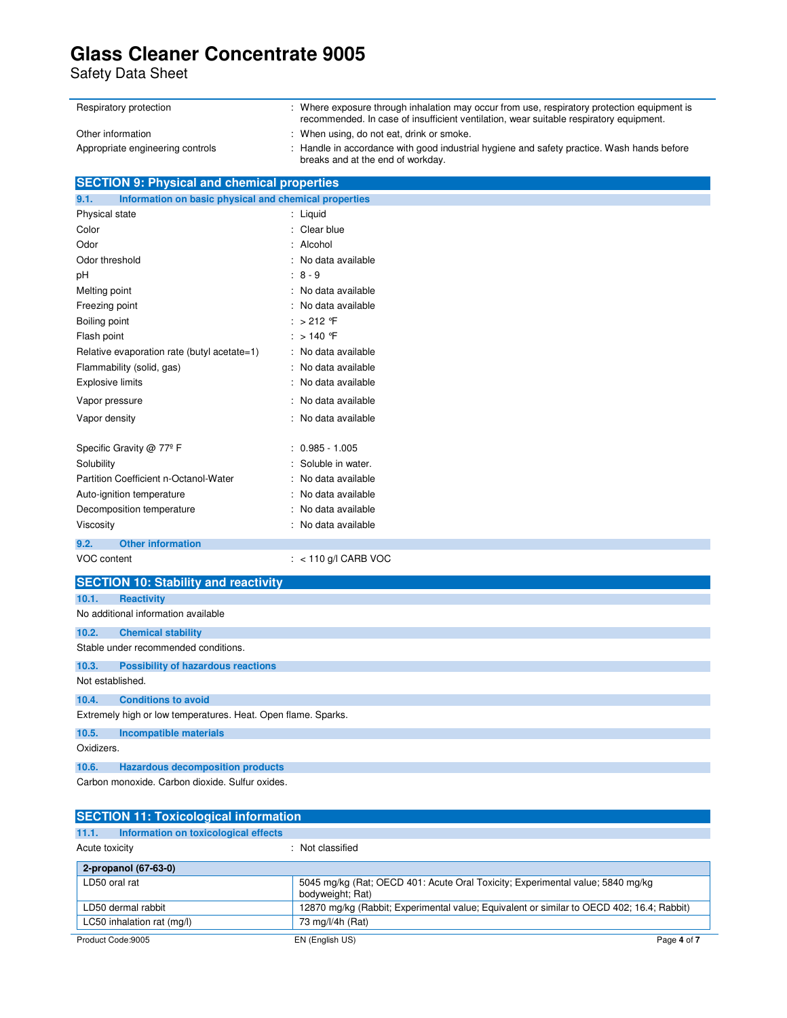Safety Data Sheet

| Respiratory protection           | : Where exposure through inhalation may occur from use, respiratory protection equipment is<br>recommended. In case of insufficient ventilation, wear suitable respiratory equipment. |
|----------------------------------|---------------------------------------------------------------------------------------------------------------------------------------------------------------------------------------|
| Other information                | : When using, do not eat, drink or smoke.                                                                                                                                             |
| Appropriate engineering controls | : Handle in accordance with good industrial hygiene and safety practice. Wash hands before<br>breaks and at the end of workday.                                                       |

| <b>SECTION 9: Physical and chemical properties</b>            |                        |  |  |  |
|---------------------------------------------------------------|------------------------|--|--|--|
| Information on basic physical and chemical properties<br>9.1. |                        |  |  |  |
| Physical state                                                | : Liquid               |  |  |  |
| Color                                                         | Clear blue<br>٠        |  |  |  |
| Odor                                                          | Alcohol                |  |  |  |
| Odor threshold                                                | No data available      |  |  |  |
| pH                                                            | 8 - 9                  |  |  |  |
| Melting point                                                 | No data available      |  |  |  |
| Freezing point                                                | No data available      |  |  |  |
| Boiling point                                                 | $>212$ °F              |  |  |  |
| Flash point                                                   | : $>140$ F             |  |  |  |
| Relative evaporation rate (butyl acetate=1)                   | No data available      |  |  |  |
| Flammability (solid, gas)                                     | No data available      |  |  |  |
| <b>Explosive limits</b>                                       | No data available      |  |  |  |
| Vapor pressure                                                | No data available      |  |  |  |
| Vapor density                                                 | No data available      |  |  |  |
| Specific Gravity @ 77º F                                      | $0.985 - 1.005$        |  |  |  |
| Solubility                                                    | Soluble in water.      |  |  |  |
| Partition Coefficient n-Octanol-Water                         | No data available      |  |  |  |
| Auto-ignition temperature                                     | No data available      |  |  |  |
| Decomposition temperature                                     | No data available      |  |  |  |
| Viscosity                                                     | No data available      |  |  |  |
| <b>Other information</b><br>9.2.                              |                        |  |  |  |
| VOC content                                                   | : $< 110$ g/l CARB VOC |  |  |  |
| <b>SECTION 10: Stability and reactivity</b>                   |                        |  |  |  |
| 10.1.<br><b>Reactivity</b>                                    |                        |  |  |  |
| No additional information available                           |                        |  |  |  |

| 10.2.            | <b>Chemical stability</b>                                     |  |  |  |  |
|------------------|---------------------------------------------------------------|--|--|--|--|
|                  | Stable under recommended conditions.                          |  |  |  |  |
| 10.3.            | <b>Possibility of hazardous reactions</b>                     |  |  |  |  |
| Not established. |                                                               |  |  |  |  |
| 10.4.            | <b>Conditions to avoid</b>                                    |  |  |  |  |
|                  | Extremely high or low temperatures. Heat. Open flame. Sparks. |  |  |  |  |
| 10.5.            | Incompatible materials                                        |  |  |  |  |
| Oxidizers.       |                                                               |  |  |  |  |
| 10.6.            | <b>Hazardous decomposition products</b>                       |  |  |  |  |

Carbon monoxide. Carbon dioxide. Sulfur oxides.

| <b>SECTION 11: Toxicological information</b>  |                                                                                                    |  |  |
|-----------------------------------------------|----------------------------------------------------------------------------------------------------|--|--|
| Information on toxicological effects<br>11.1. |                                                                                                    |  |  |
| Acute toxicity                                | : Not classified                                                                                   |  |  |
| 2-propanol (67-63-0)                          |                                                                                                    |  |  |
| LD50 oral rat                                 | 5045 mg/kg (Rat: OECD 401: Acute Oral Toxicity: Experimental value: 5840 mg/kg<br>bodyweight; Rat) |  |  |
| LD50 dermal rabbit                            | 12870 mg/kg (Rabbit; Experimental value; Equivalent or similar to OECD 402; 16.4; Rabbit)          |  |  |
| LC50 inhalation rat (mg/l)                    | 73 mg/l/4h (Rat)                                                                                   |  |  |
| Product Code: 9005                            | Page 4 of 7<br>EN (English US)                                                                     |  |  |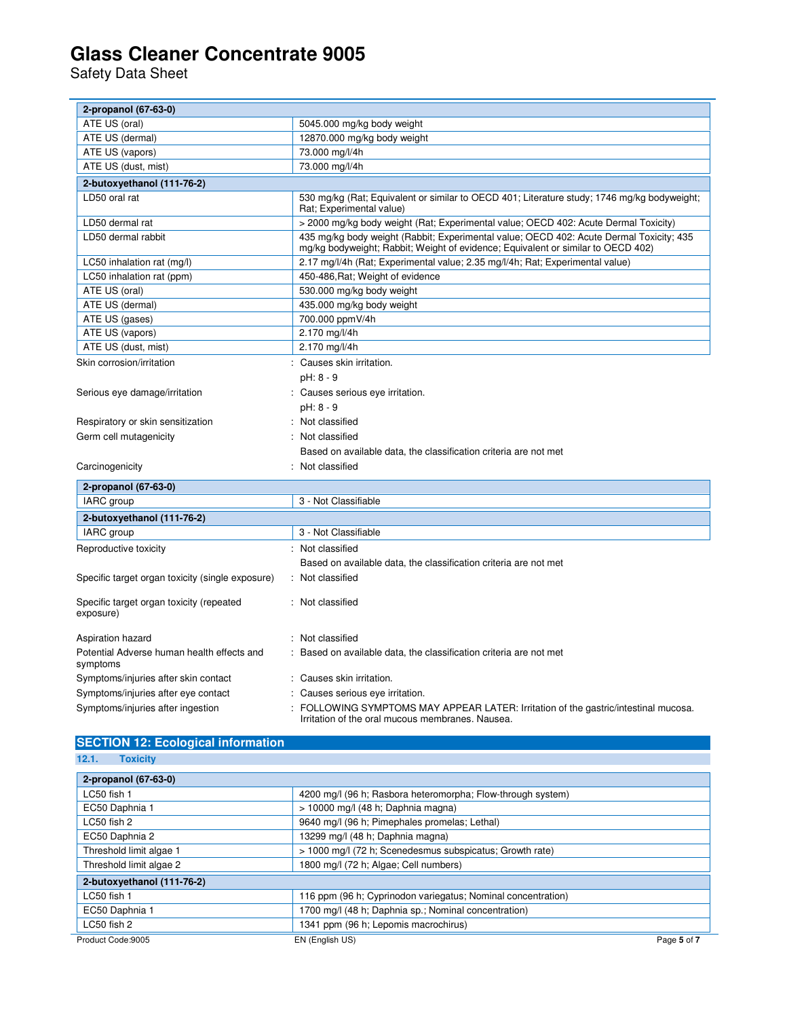Safety Data Sheet

| 2-propanol (67-63-0)                                   |                                                                                                                                                                             |
|--------------------------------------------------------|-----------------------------------------------------------------------------------------------------------------------------------------------------------------------------|
| ATE US (oral)                                          | 5045.000 mg/kg body weight                                                                                                                                                  |
| ATE US (dermal)                                        | 12870.000 mg/kg body weight                                                                                                                                                 |
| ATE US (vapors)                                        | 73.000 mg/l/4h                                                                                                                                                              |
| ATE US (dust, mist)                                    | 73.000 mg/l/4h                                                                                                                                                              |
| 2-butoxyethanol (111-76-2)                             |                                                                                                                                                                             |
| LD50 oral rat                                          | 530 mg/kg (Rat; Equivalent or similar to OECD 401; Literature study; 1746 mg/kg bodyweight;<br>Rat: Experimental value)                                                     |
| LD50 dermal rat                                        | > 2000 mg/kg body weight (Rat; Experimental value; OECD 402: Acute Dermal Toxicity)                                                                                         |
| LD50 dermal rabbit                                     | 435 mg/kg body weight (Rabbit; Experimental value; OECD 402: Acute Dermal Toxicity; 435<br>mg/kg bodyweight; Rabbit; Weight of evidence; Equivalent or similar to OECD 402) |
| LC50 inhalation rat (mg/l)                             | 2.17 mg/l/4h (Rat; Experimental value; 2.35 mg/l/4h; Rat; Experimental value)                                                                                               |
| LC50 inhalation rat (ppm)                              | 450-486, Rat; Weight of evidence                                                                                                                                            |
| ATE US (oral)                                          | 530.000 mg/kg body weight                                                                                                                                                   |
| ATE US (dermal)                                        | 435.000 mg/kg body weight                                                                                                                                                   |
| ATE US (gases)                                         | 700.000 ppmV/4h                                                                                                                                                             |
| ATE US (vapors)                                        | 2.170 mg/l/4h                                                                                                                                                               |
| ATE US (dust, mist)                                    | 2.170 mg/l/4h                                                                                                                                                               |
| Skin corrosion/irritation                              | : Causes skin irritation.                                                                                                                                                   |
|                                                        | pH: 8 - 9                                                                                                                                                                   |
| Serious eye damage/irritation                          | : Causes serious eye irritation.                                                                                                                                            |
|                                                        | pH: 8 - 9                                                                                                                                                                   |
| Respiratory or skin sensitization                      | : Not classified                                                                                                                                                            |
| Germ cell mutagenicity                                 | : Not classified                                                                                                                                                            |
|                                                        | Based on available data, the classification criteria are not met                                                                                                            |
| Carcinogenicity                                        | : Not classified                                                                                                                                                            |
| 2-propanol (67-63-0)                                   |                                                                                                                                                                             |
| IARC group                                             | 3 - Not Classifiable                                                                                                                                                        |
| 2-butoxyethanol (111-76-2)                             |                                                                                                                                                                             |
| IARC group                                             | 3 - Not Classifiable                                                                                                                                                        |
| Reproductive toxicity                                  | : Not classified                                                                                                                                                            |
|                                                        | Based on available data, the classification criteria are not met                                                                                                            |
| Specific target organ toxicity (single exposure)       | : Not classified                                                                                                                                                            |
| Specific target organ toxicity (repeated<br>exposure)  | : Not classified                                                                                                                                                            |
| Aspiration hazard                                      | : Not classified                                                                                                                                                            |
| Potential Adverse human health effects and<br>symptoms | Based on available data, the classification criteria are not met                                                                                                            |
| Symptoms/injuries after skin contact                   | : Causes skin irritation.                                                                                                                                                   |
| Symptoms/injuries after eye contact                    | Causes serious eye irritation.                                                                                                                                              |
| Symptoms/injuries after ingestion                      | FOLLOWING SYMPTOMS MAY APPEAR LATER: Irritation of the gastric/intestinal mucosa.                                                                                           |
|                                                        | Irritation of the oral mucous membranes. Nausea.                                                                                                                            |

### **SECTION 12: Ecological information**

**12.1. Toxicity** 

| 2-propanol (67-63-0)       |                                                              |             |
|----------------------------|--------------------------------------------------------------|-------------|
| LC50 fish 1                | 4200 mg/l (96 h; Rasbora heteromorpha; Flow-through system)  |             |
| EC50 Daphnia 1             | $> 10000$ mg/l (48 h; Daphnia magna)                         |             |
| LC50 fish 2                | 9640 mg/l (96 h; Pimephales promelas; Lethal)                |             |
| EC50 Daphnia 2             | 13299 mg/l (48 h; Daphnia magna)                             |             |
| Threshold limit algae 1    | > 1000 mg/l (72 h; Scenedesmus subspicatus; Growth rate)     |             |
| Threshold limit algae 2    | 1800 mg/l (72 h; Algae; Cell numbers)                        |             |
| 2-butoxyethanol (111-76-2) |                                                              |             |
| LC50 fish 1                | 116 ppm (96 h; Cyprinodon variegatus; Nominal concentration) |             |
| EC50 Daphnia 1             | 1700 mg/l (48 h; Daphnia sp.; Nominal concentration)         |             |
| LC50 fish 2                | 1341 ppm (96 h; Lepomis macrochirus)                         |             |
| Product Code: 9005         | EN (English US)                                              | Page 5 of 7 |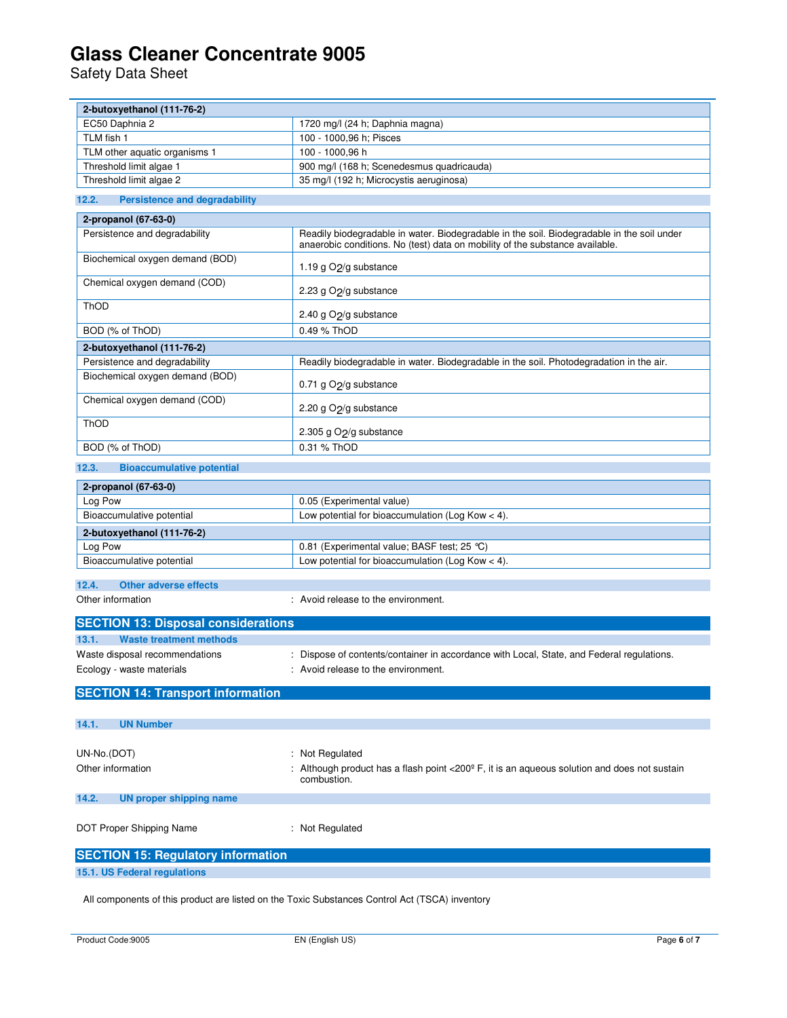Safety Data Sheet

| 2-butoxyethanol (111-76-2)                    |                                                                                                                                                                            |  |
|-----------------------------------------------|----------------------------------------------------------------------------------------------------------------------------------------------------------------------------|--|
| EC50 Daphnia 2                                | 1720 mg/l (24 h; Daphnia magna)                                                                                                                                            |  |
| TLM fish 1                                    | 100 - 1000,96 h; Pisces                                                                                                                                                    |  |
| TLM other aquatic organisms 1                 | 100 - 1000,96 h                                                                                                                                                            |  |
| Threshold limit algae 1                       | 900 mg/l (168 h; Scenedesmus quadricauda)                                                                                                                                  |  |
| Threshold limit algae 2                       | 35 mg/l (192 h; Microcystis aeruginosa)                                                                                                                                    |  |
| 12.2.<br><b>Persistence and degradability</b> |                                                                                                                                                                            |  |
| 2-propanol (67-63-0)                          |                                                                                                                                                                            |  |
| Persistence and degradability                 | Readily biodegradable in water. Biodegradable in the soil. Biodegradable in the soil under<br>anaerobic conditions. No (test) data on mobility of the substance available. |  |
| Biochemical oxygen demand (BOD)               | 1.19 g O <sub>2</sub> /g substance                                                                                                                                         |  |
| Chemical oxygen demand (COD)                  | 2.23 g O <sub>2</sub> /g substance                                                                                                                                         |  |
| ThOD                                          | 2.40 g O <sub>2</sub> /g substance                                                                                                                                         |  |
| BOD (% of ThOD)                               | 0.49 % ThOD                                                                                                                                                                |  |
| 2-butoxyethanol (111-76-2)                    |                                                                                                                                                                            |  |
| Persistence and degradability                 | Readily biodegradable in water. Biodegradable in the soil. Photodegradation in the air.                                                                                    |  |
| Biochemical oxygen demand (BOD)               | 0.71 g O <sub>2</sub> /g substance                                                                                                                                         |  |
| Chemical oxygen demand (COD)                  | 2.20 g O <sub>2</sub> /g substance                                                                                                                                         |  |
| ThOD                                          | 2.305 g O <sub>2</sub> /g substance                                                                                                                                        |  |
| BOD (% of ThOD)                               | 0.31 % ThOD                                                                                                                                                                |  |
| 12.3.<br><b>Bioaccumulative potential</b>     |                                                                                                                                                                            |  |
| 2-propanol (67-63-0)                          |                                                                                                                                                                            |  |
| Log Pow                                       | 0.05 (Experimental value)                                                                                                                                                  |  |
| Bioaccumulative potential                     | Low potential for bioaccumulation (Log Kow $<$ 4).                                                                                                                         |  |
| 2-butoxyethanol (111-76-2)                    |                                                                                                                                                                            |  |
| Log Pow                                       | 0.81 (Experimental value; BASF test; 25 ℃)                                                                                                                                 |  |
| Bioaccumulative potential                     | Low potential for bioaccumulation (Log Kow $<$ 4).                                                                                                                         |  |
| 12.4.<br><b>Other adverse effects</b>         |                                                                                                                                                                            |  |
| Other information                             | : Avoid release to the environment.                                                                                                                                        |  |
|                                               |                                                                                                                                                                            |  |
| <b>SECTION 13: Disposal considerations</b>    |                                                                                                                                                                            |  |
| 13.1.<br><b>Waste treatment methods</b>       |                                                                                                                                                                            |  |
| Waste disposal recommendations                | : Dispose of contents/container in accordance with Local, State, and Federal regulations.                                                                                  |  |
| Ecology - waste materials                     | : Avoid release to the environment.                                                                                                                                        |  |
| <b>SECTION 14: Transport information</b>      |                                                                                                                                                                            |  |
| <b>UN Number</b><br>14.1.                     |                                                                                                                                                                            |  |
|                                               |                                                                                                                                                                            |  |
| UN-No.(DOT)                                   | : Not Regulated                                                                                                                                                            |  |
| Other information                             | : Although product has a flash point $<$ 200 $^{\circ}$ F, it is an aqueous solution and does not sustain<br>combustion.                                                   |  |
| 14.2.<br><b>UN proper shipping name</b>       |                                                                                                                                                                            |  |
| DOT Proper Shipping Name                      | : Not Regulated                                                                                                                                                            |  |
| <b>SECTION 15: Regulatory information</b>     |                                                                                                                                                                            |  |
| 15.1. US Federal regulations                  |                                                                                                                                                                            |  |

All components of this product are listed on the Toxic Substances Control Act (TSCA) inventory